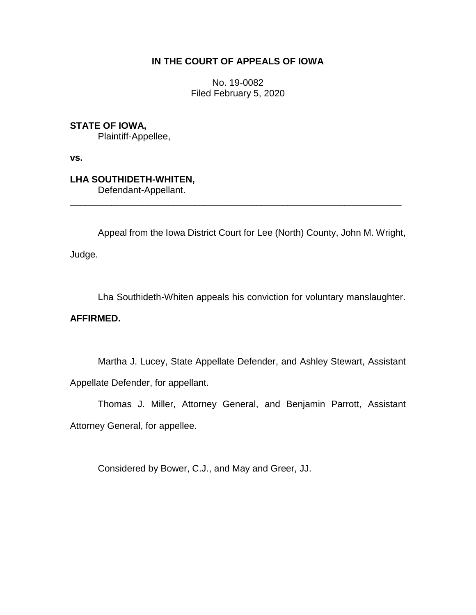# **IN THE COURT OF APPEALS OF IOWA**

No. 19-0082 Filed February 5, 2020

**STATE OF IOWA,**

Plaintiff-Appellee,

**vs.**

**LHA SOUTHIDETH-WHITEN,** Defendant-Appellant.

\_\_\_\_\_\_\_\_\_\_\_\_\_\_\_\_\_\_\_\_\_\_\_\_\_\_\_\_\_\_\_\_\_\_\_\_\_\_\_\_\_\_\_\_\_\_\_\_\_\_\_\_\_\_\_\_\_\_\_\_\_\_\_\_

Appeal from the Iowa District Court for Lee (North) County, John M. Wright,

Judge.

Lha Southideth-Whiten appeals his conviction for voluntary manslaughter.

## **AFFIRMED.**

Martha J. Lucey, State Appellate Defender, and Ashley Stewart, Assistant Appellate Defender, for appellant.

Thomas J. Miller, Attorney General, and Benjamin Parrott, Assistant Attorney General, for appellee.

Considered by Bower, C.J., and May and Greer, JJ.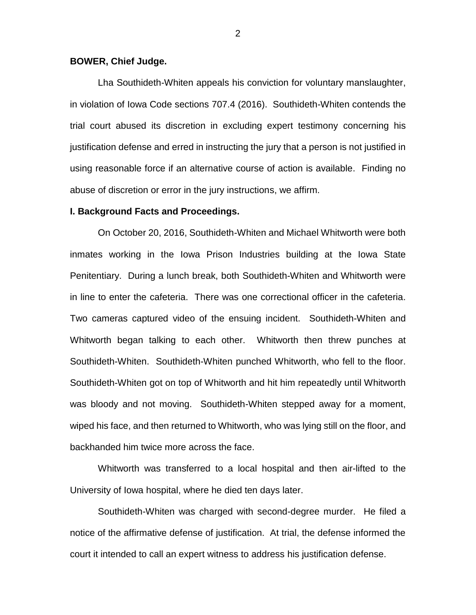#### **BOWER, Chief Judge.**

Lha Southideth-Whiten appeals his conviction for voluntary manslaughter, in violation of Iowa Code sections 707.4 (2016). Southideth-Whiten contends the trial court abused its discretion in excluding expert testimony concerning his justification defense and erred in instructing the jury that a person is not justified in using reasonable force if an alternative course of action is available. Finding no abuse of discretion or error in the jury instructions, we affirm.

#### **I. Background Facts and Proceedings.**

On October 20, 2016, Southideth-Whiten and Michael Whitworth were both inmates working in the Iowa Prison Industries building at the Iowa State Penitentiary. During a lunch break, both Southideth-Whiten and Whitworth were in line to enter the cafeteria. There was one correctional officer in the cafeteria. Two cameras captured video of the ensuing incident. Southideth-Whiten and Whitworth began talking to each other. Whitworth then threw punches at Southideth-Whiten. Southideth-Whiten punched Whitworth, who fell to the floor. Southideth-Whiten got on top of Whitworth and hit him repeatedly until Whitworth was bloody and not moving. Southideth-Whiten stepped away for a moment, wiped his face, and then returned to Whitworth, who was lying still on the floor, and backhanded him twice more across the face.

Whitworth was transferred to a local hospital and then air-lifted to the University of Iowa hospital, where he died ten days later.

Southideth-Whiten was charged with second-degree murder. He filed a notice of the affirmative defense of justification. At trial, the defense informed the court it intended to call an expert witness to address his justification defense.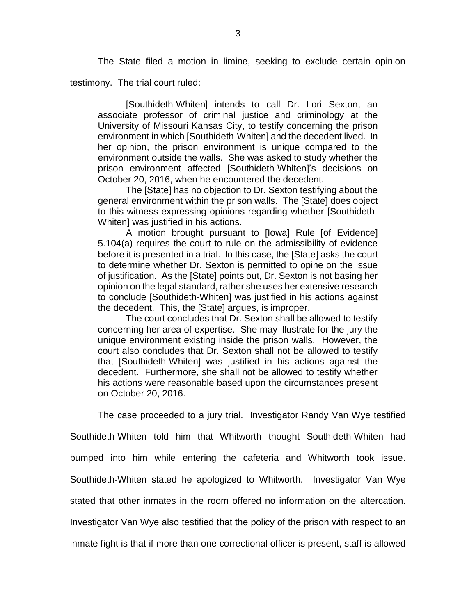The State filed a motion in limine, seeking to exclude certain opinion testimony. The trial court ruled:

[Southideth-Whiten] intends to call Dr. Lori Sexton, an associate professor of criminal justice and criminology at the University of Missouri Kansas City, to testify concerning the prison environment in which [Southideth-Whiten] and the decedent lived. In her opinion, the prison environment is unique compared to the environment outside the walls. She was asked to study whether the prison environment affected [Southideth-Whiten]'s decisions on October 20, 2016, when he encountered the decedent.

The [State] has no objection to Dr. Sexton testifying about the general environment within the prison walls. The [State] does object to this witness expressing opinions regarding whether [Southideth-Whiten] was justified in his actions.

A motion brought pursuant to [Iowa] Rule [of Evidence] 5.104(a) requires the court to rule on the admissibility of evidence before it is presented in a trial. In this case, the [State] asks the court to determine whether Dr. Sexton is permitted to opine on the issue of justification. As the [State] points out, Dr. Sexton is not basing her opinion on the legal standard, rather she uses her extensive research to conclude [Southideth-Whiten] was justified in his actions against the decedent. This, the [State] argues, is improper.

The court concludes that Dr. Sexton shall be allowed to testify concerning her area of expertise. She may illustrate for the jury the unique environment existing inside the prison walls. However, the court also concludes that Dr. Sexton shall not be allowed to testify that [Southideth-Whiten] was justified in his actions against the decedent. Furthermore, she shall not be allowed to testify whether his actions were reasonable based upon the circumstances present on October 20, 2016.

The case proceeded to a jury trial. Investigator Randy Van Wye testified

Southideth-Whiten told him that Whitworth thought Southideth-Whiten had bumped into him while entering the cafeteria and Whitworth took issue. Southideth-Whiten stated he apologized to Whitworth. Investigator Van Wye stated that other inmates in the room offered no information on the altercation. Investigator Van Wye also testified that the policy of the prison with respect to an inmate fight is that if more than one correctional officer is present, staff is allowed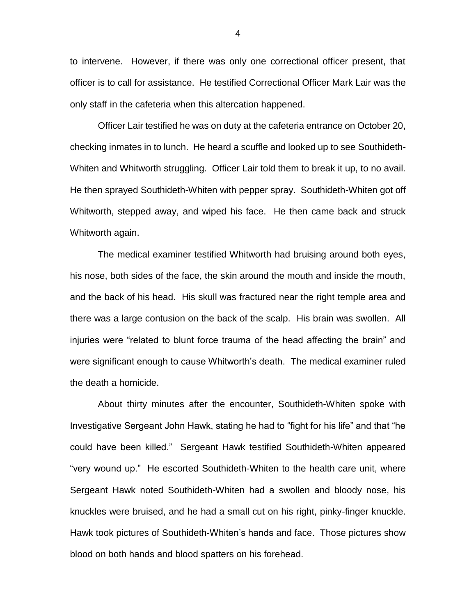to intervene. However, if there was only one correctional officer present, that officer is to call for assistance. He testified Correctional Officer Mark Lair was the only staff in the cafeteria when this altercation happened.

Officer Lair testified he was on duty at the cafeteria entrance on October 20, checking inmates in to lunch. He heard a scuffle and looked up to see Southideth-Whiten and Whitworth struggling. Officer Lair told them to break it up, to no avail. He then sprayed Southideth-Whiten with pepper spray. Southideth-Whiten got off Whitworth, stepped away, and wiped his face. He then came back and struck Whitworth again.

The medical examiner testified Whitworth had bruising around both eyes, his nose, both sides of the face, the skin around the mouth and inside the mouth, and the back of his head. His skull was fractured near the right temple area and there was a large contusion on the back of the scalp. His brain was swollen. All injuries were "related to blunt force trauma of the head affecting the brain" and were significant enough to cause Whitworth's death. The medical examiner ruled the death a homicide.

About thirty minutes after the encounter, Southideth-Whiten spoke with Investigative Sergeant John Hawk, stating he had to "fight for his life" and that "he could have been killed." Sergeant Hawk testified Southideth-Whiten appeared "very wound up." He escorted Southideth-Whiten to the health care unit, where Sergeant Hawk noted Southideth-Whiten had a swollen and bloody nose, his knuckles were bruised, and he had a small cut on his right, pinky-finger knuckle. Hawk took pictures of Southideth-Whiten's hands and face. Those pictures show blood on both hands and blood spatters on his forehead.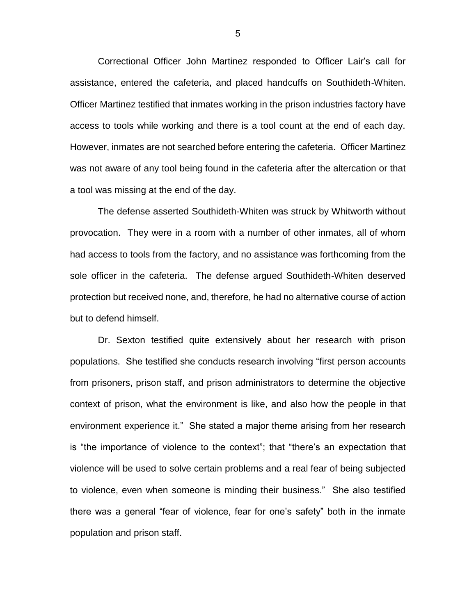Correctional Officer John Martinez responded to Officer Lair's call for assistance, entered the cafeteria, and placed handcuffs on Southideth-Whiten. Officer Martinez testified that inmates working in the prison industries factory have access to tools while working and there is a tool count at the end of each day. However, inmates are not searched before entering the cafeteria. Officer Martinez was not aware of any tool being found in the cafeteria after the altercation or that a tool was missing at the end of the day.

The defense asserted Southideth-Whiten was struck by Whitworth without provocation. They were in a room with a number of other inmates, all of whom had access to tools from the factory, and no assistance was forthcoming from the sole officer in the cafeteria. The defense argued Southideth-Whiten deserved protection but received none, and, therefore, he had no alternative course of action but to defend himself.

Dr. Sexton testified quite extensively about her research with prison populations. She testified she conducts research involving "first person accounts from prisoners, prison staff, and prison administrators to determine the objective context of prison, what the environment is like, and also how the people in that environment experience it." She stated a major theme arising from her research is "the importance of violence to the context"; that "there's an expectation that violence will be used to solve certain problems and a real fear of being subjected to violence, even when someone is minding their business." She also testified there was a general "fear of violence, fear for one's safety" both in the inmate population and prison staff.

5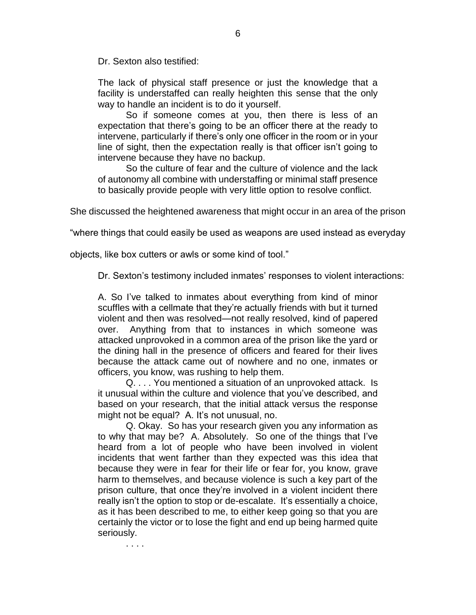Dr. Sexton also testified:

The lack of physical staff presence or just the knowledge that a facility is understaffed can really heighten this sense that the only way to handle an incident is to do it yourself.

So if someone comes at you, then there is less of an expectation that there's going to be an officer there at the ready to intervene, particularly if there's only one officer in the room or in your line of sight, then the expectation really is that officer isn't going to intervene because they have no backup.

So the culture of fear and the culture of violence and the lack of autonomy all combine with understaffing or minimal staff presence to basically provide people with very little option to resolve conflict.

She discussed the heightened awareness that might occur in an area of the prison

"where things that could easily be used as weapons are used instead as everyday

objects, like box cutters or awls or some kind of tool."

Dr. Sexton's testimony included inmates' responses to violent interactions:

A. So I've talked to inmates about everything from kind of minor scuffles with a cellmate that they're actually friends with but it turned violent and then was resolved—not really resolved, kind of papered over. Anything from that to instances in which someone was attacked unprovoked in a common area of the prison like the yard or the dining hall in the presence of officers and feared for their lives because the attack came out of nowhere and no one, inmates or officers, you know, was rushing to help them.

Q. . . . You mentioned a situation of an unprovoked attack. Is it unusual within the culture and violence that you've described, and based on your research, that the initial attack versus the response might not be equal? A. It's not unusual, no.

Q. Okay. So has your research given you any information as to why that may be? A. Absolutely. So one of the things that I've heard from a lot of people who have been involved in violent incidents that went farther than they expected was this idea that because they were in fear for their life or fear for, you know, grave harm to themselves, and because violence is such a key part of the prison culture, that once they're involved in a violent incident there really isn't the option to stop or de-escalate. It's essentially a choice, as it has been described to me, to either keep going so that you are certainly the victor or to lose the fight and end up being harmed quite seriously.

. . . .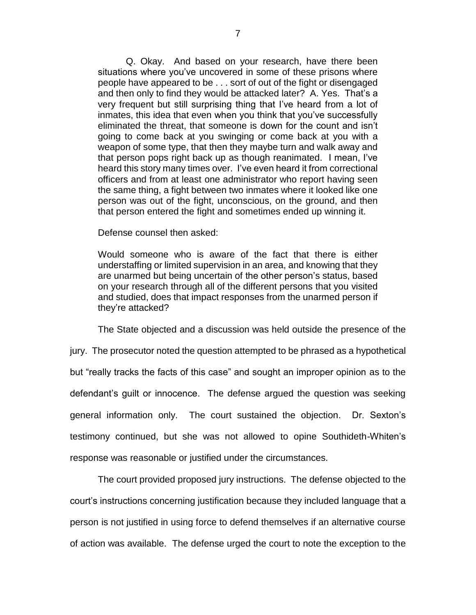Q. Okay. And based on your research, have there been situations where you've uncovered in some of these prisons where people have appeared to be . . . sort of out of the fight or disengaged and then only to find they would be attacked later? A. Yes. That's a very frequent but still surprising thing that I've heard from a lot of inmates, this idea that even when you think that you've successfully eliminated the threat, that someone is down for the count and isn't going to come back at you swinging or come back at you with a weapon of some type, that then they maybe turn and walk away and that person pops right back up as though reanimated. I mean, I've heard this story many times over. I've even heard it from correctional officers and from at least one administrator who report having seen the same thing, a fight between two inmates where it looked like one person was out of the fight, unconscious, on the ground, and then that person entered the fight and sometimes ended up winning it.

Defense counsel then asked:

Would someone who is aware of the fact that there is either understaffing or limited supervision in an area, and knowing that they are unarmed but being uncertain of the other person's status, based on your research through all of the different persons that you visited and studied, does that impact responses from the unarmed person if they're attacked?

The State objected and a discussion was held outside the presence of the

jury. The prosecutor noted the question attempted to be phrased as a hypothetical but "really tracks the facts of this case" and sought an improper opinion as to the defendant's guilt or innocence. The defense argued the question was seeking general information only. The court sustained the objection. Dr. Sexton's testimony continued, but she was not allowed to opine Southideth-Whiten's response was reasonable or justified under the circumstances.

The court provided proposed jury instructions. The defense objected to the court's instructions concerning justification because they included language that a person is not justified in using force to defend themselves if an alternative course of action was available. The defense urged the court to note the exception to the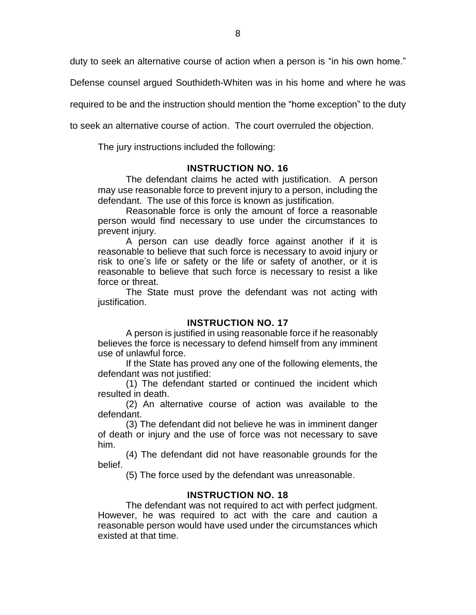duty to seek an alternative course of action when a person is "in his own home."

Defense counsel argued Southideth-Whiten was in his home and where he was

required to be and the instruction should mention the "home exception" to the duty

to seek an alternative course of action. The court overruled the objection.

The jury instructions included the following:

### **INSTRUCTION NO. 16**

The defendant claims he acted with justification. A person may use reasonable force to prevent injury to a person, including the defendant. The use of this force is known as justification.

Reasonable force is only the amount of force a reasonable person would find necessary to use under the circumstances to prevent injury.

A person can use deadly force against another if it is reasonable to believe that such force is necessary to avoid injury or risk to one's life or safety or the life or safety of another, or it is reasonable to believe that such force is necessary to resist a like force or threat.

The State must prove the defendant was not acting with justification.

#### **INSTRUCTION NO. 17**

A person is justified in using reasonable force if he reasonably believes the force is necessary to defend himself from any imminent use of unlawful force.

If the State has proved any one of the following elements, the defendant was not justified:

(1) The defendant started or continued the incident which resulted in death.

(2) An alternative course of action was available to the defendant.

(3) The defendant did not believe he was in imminent danger of death or injury and the use of force was not necessary to save him.

(4) The defendant did not have reasonable grounds for the belief.

(5) The force used by the defendant was unreasonable.

## **INSTRUCTION NO. 18**

The defendant was not required to act with perfect judgment. However, he was required to act with the care and caution a reasonable person would have used under the circumstances which existed at that time.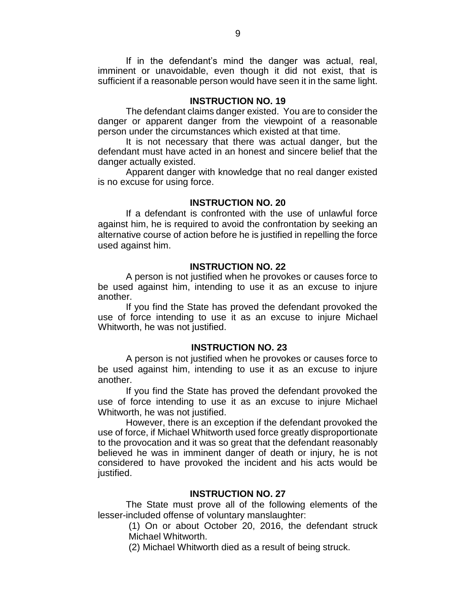If in the defendant's mind the danger was actual, real, imminent or unavoidable, even though it did not exist, that is sufficient if a reasonable person would have seen it in the same light.

#### **INSTRUCTION NO. 19**

The defendant claims danger existed. You are to consider the danger or apparent danger from the viewpoint of a reasonable person under the circumstances which existed at that time.

It is not necessary that there was actual danger, but the defendant must have acted in an honest and sincere belief that the danger actually existed.

Apparent danger with knowledge that no real danger existed is no excuse for using force.

### **INSTRUCTION NO. 20**

If a defendant is confronted with the use of unlawful force against him, he is required to avoid the confrontation by seeking an alternative course of action before he is justified in repelling the force used against him.

### **INSTRUCTION NO. 22**

A person is not justified when he provokes or causes force to be used against him, intending to use it as an excuse to injure another.

If you find the State has proved the defendant provoked the use of force intending to use it as an excuse to injure Michael Whitworth, he was not justified.

## **INSTRUCTION NO. 23**

A person is not justified when he provokes or causes force to be used against him, intending to use it as an excuse to injure another.

If you find the State has proved the defendant provoked the use of force intending to use it as an excuse to injure Michael Whitworth, he was not justified.

However, there is an exception if the defendant provoked the use of force, if Michael Whitworth used force greatly disproportionate to the provocation and it was so great that the defendant reasonably believed he was in imminent danger of death or injury, he is not considered to have provoked the incident and his acts would be justified.

# **INSTRUCTION NO. 27**

The State must prove all of the following elements of the lesser-included offense of voluntary manslaughter:

> (1) On or about October 20, 2016, the defendant struck Michael Whitworth.

(2) Michael Whitworth died as a result of being struck.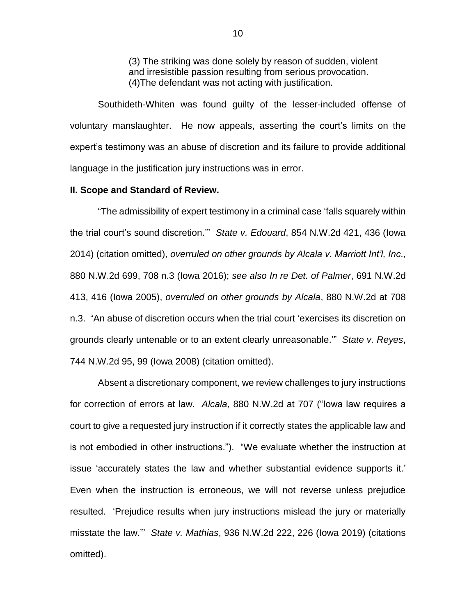(3) The striking was done solely by reason of sudden, violent and irresistible passion resulting from serious provocation. (4)The defendant was not acting with justification.

Southideth-Whiten was found guilty of the lesser-included offense of voluntary manslaughter. He now appeals, asserting the court's limits on the expert's testimony was an abuse of discretion and its failure to provide additional language in the justification jury instructions was in error.

#### **II. Scope and Standard of Review.**

"The admissibility of expert testimony in a criminal case 'falls squarely within the trial court's sound discretion.'" *State v. Edouard*, 854 N.W.2d 421, 436 (Iowa 2014) (citation omitted), *overruled on other grounds by Alcala v. Marriott Int'l, Inc*., 880 N.W.2d 699, 708 n.3 (Iowa 2016); *see also In re Det. of Palmer*, 691 N.W.2d 413, 416 (Iowa 2005), *overruled on other grounds by Alcala*, 880 N.W.2d at 708 n.3. "An abuse of discretion occurs when the trial court 'exercises its discretion on grounds clearly untenable or to an extent clearly unreasonable.'" *State v. Reyes*, 744 N.W.2d 95, 99 (Iowa 2008) (citation omitted).

Absent a discretionary component, we review challenges to jury instructions for correction of errors at law. *Alcala*, 880 N.W.2d at 707 ("Iowa law requires a court to give a requested jury instruction if it correctly states the applicable law and is not embodied in other instructions."). "We evaluate whether the instruction at issue 'accurately states the law and whether substantial evidence supports it.' Even when the instruction is erroneous, we will not reverse unless prejudice resulted. 'Prejudice results when jury instructions mislead the jury or materially misstate the law.'" *State v. Mathias*, 936 N.W.2d 222, 226 (Iowa 2019) (citations omitted).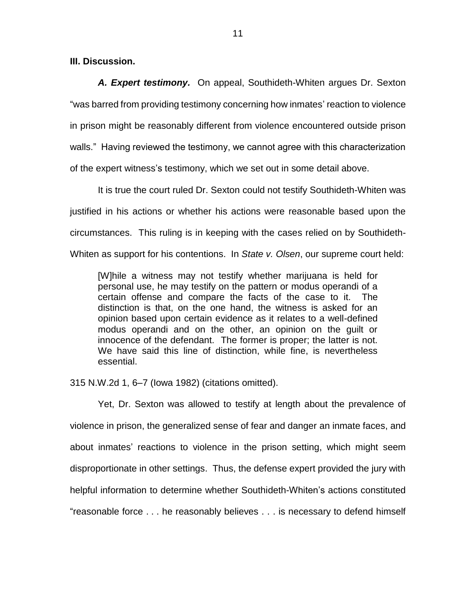**III. Discussion.**

*A. Expert testimony.* On appeal, Southideth-Whiten argues Dr. Sexton "was barred from providing testimony concerning how inmates' reaction to violence in prison might be reasonably different from violence encountered outside prison walls." Having reviewed the testimony, we cannot agree with this characterization of the expert witness's testimony, which we set out in some detail above.

It is true the court ruled Dr. Sexton could not testify Southideth-Whiten was justified in his actions or whether his actions were reasonable based upon the circumstances. This ruling is in keeping with the cases relied on by Southideth-Whiten as support for his contentions. In *State v. Olsen*, our supreme court held:

[W]hile a witness may not testify whether marijuana is held for personal use, he may testify on the pattern or modus operandi of a certain offense and compare the facts of the case to it. The distinction is that, on the one hand, the witness is asked for an opinion based upon certain evidence as it relates to a well-defined modus operandi and on the other, an opinion on the guilt or innocence of the defendant. The former is proper; the latter is not. We have said this line of distinction, while fine, is nevertheless essential.

315 N.W.2d 1, 6–7 (Iowa 1982) (citations omitted).

Yet, Dr. Sexton was allowed to testify at length about the prevalence of violence in prison, the generalized sense of fear and danger an inmate faces, and about inmates' reactions to violence in the prison setting, which might seem disproportionate in other settings. Thus, the defense expert provided the jury with helpful information to determine whether Southideth-Whiten's actions constituted "reasonable force . . . he reasonably believes . . . is necessary to defend himself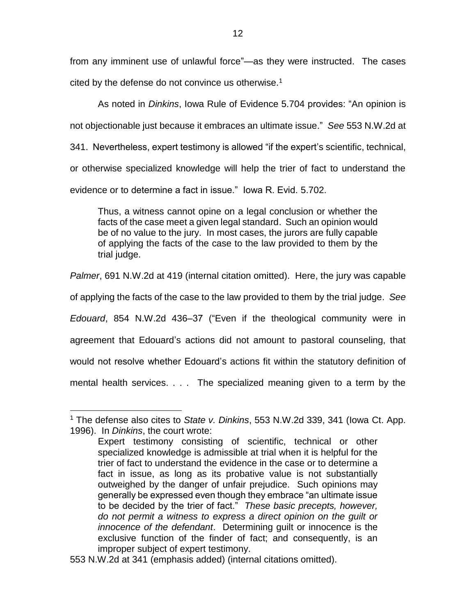from any imminent use of unlawful force"—as they were instructed. The cases cited by the defense do not convince us otherwise.<sup>1</sup>

As noted in *Dinkins*, Iowa Rule of Evidence 5.704 provides: "An opinion is not objectionable just because it embraces an ultimate issue." *See* 553 N.W.2d at 341. Nevertheless, expert testimony is allowed "if the expert's scientific, technical, or otherwise specialized knowledge will help the trier of fact to understand the evidence or to determine a fact in issue." Iowa R. Evid. 5.702.

Thus, a witness cannot opine on a legal conclusion or whether the facts of the case meet a given legal standard. Such an opinion would be of no value to the jury. In most cases, the jurors are fully capable of applying the facts of the case to the law provided to them by the trial judge.

*Palmer*, 691 N.W.2d at 419 (internal citation omitted). Here, the jury was capable

of applying the facts of the case to the law provided to them by the trial judge. *See* 

*Edouard*, 854 N.W.2d 436–37 ("Even if the theological community were in

agreement that Edouard's actions did not amount to pastoral counseling, that

would not resolve whether Edouard's actions fit within the statutory definition of

mental health services. . . . The specialized meaning given to a term by the

 $\overline{a}$ 

<sup>1</sup> The defense also cites to *State v. Dinkins*, 553 N.W.2d 339, 341 (Iowa Ct. App. 1996). In *Dinkins*, the court wrote:

Expert testimony consisting of scientific, technical or other specialized knowledge is admissible at trial when it is helpful for the trier of fact to understand the evidence in the case or to determine a fact in issue, as long as its probative value is not substantially outweighed by the danger of unfair prejudice. Such opinions may generally be expressed even though they embrace "an ultimate issue to be decided by the trier of fact." *These basic precepts, however, do not permit a witness to express a direct opinion on the guilt or innocence of the defendant*. Determining guilt or innocence is the exclusive function of the finder of fact; and consequently, is an improper subject of expert testimony.

<sup>553</sup> N.W.2d at 341 (emphasis added) (internal citations omitted).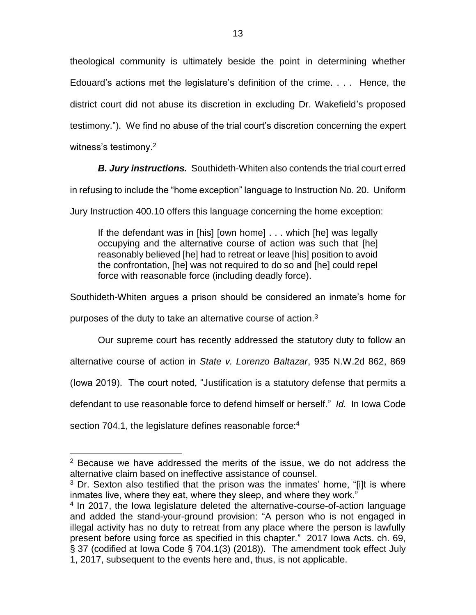theological community is ultimately beside the point in determining whether Edouard's actions met the legislature's definition of the crime. . . . Hence, the district court did not abuse its discretion in excluding Dr. Wakefield's proposed testimony."). We find no abuse of the trial court's discretion concerning the expert witness's testimony. 2

*B. Jury instructions.* Southideth-Whiten also contends the trial court erred in refusing to include the "home exception" language to Instruction No. 20. Uniform Jury Instruction 400.10 offers this language concerning the home exception:

If the defendant was in [his] [own home] . . . which [he] was legally occupying and the alternative course of action was such that [he] reasonably believed [he] had to retreat or leave [his] position to avoid the confrontation, [he] was not required to do so and [he] could repel force with reasonable force (including deadly force).

Southideth-Whiten argues a prison should be considered an inmate's home for

purposes of the duty to take an alternative course of action.<sup>3</sup>

Our supreme court has recently addressed the statutory duty to follow an

alternative course of action in *State v. Lorenzo Baltazar*, 935 N.W.2d 862, 869

(Iowa 2019). The court noted, "Justification is a statutory defense that permits a

defendant to use reasonable force to defend himself or herself." *Id.* In Iowa Code

section 704.1, the legislature defines reasonable force:<sup>4</sup>

 $\overline{a}$ 

<sup>2</sup> Because we have addressed the merits of the issue, we do not address the alternative claim based on ineffective assistance of counsel.

 $3$  Dr. Sexton also testified that the prison was the inmates' home, "[i]t is where inmates live, where they eat, where they sleep, and where they work."

<sup>4</sup> In 2017, the Iowa legislature deleted the alternative-course-of-action language and added the stand-your-ground provision: "A person who is not engaged in illegal activity has no duty to retreat from any place where the person is lawfully present before using force as specified in this chapter." 2017 Iowa Acts. ch. 69, § 37 (codified at Iowa Code § 704.1(3) (2018)). The amendment took effect July 1, 2017, subsequent to the events here and, thus, is not applicable.